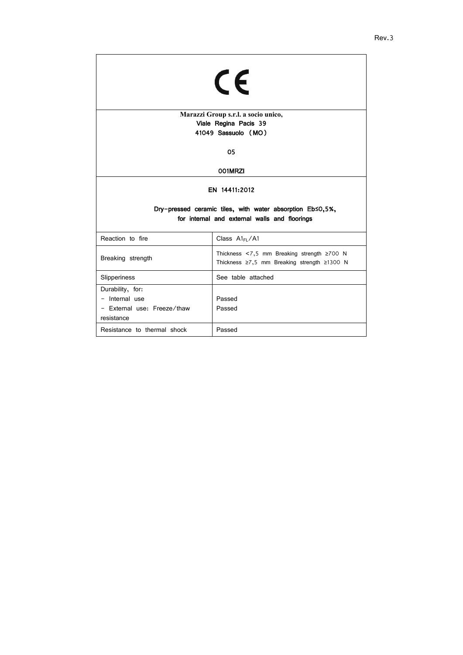| CE                                                                                                         |                                                                                                 |  |
|------------------------------------------------------------------------------------------------------------|-------------------------------------------------------------------------------------------------|--|
| Marazzi Group s.r.l. a socio unico,                                                                        |                                                                                                 |  |
|                                                                                                            | Viale Regina Pacis 39                                                                           |  |
|                                                                                                            | 41049 Sassuolo (MO)                                                                             |  |
| 05                                                                                                         |                                                                                                 |  |
| 001MRZI                                                                                                    |                                                                                                 |  |
| EN 14411:2012                                                                                              |                                                                                                 |  |
| Dry-pressed ceramic tiles, with water absorption Eb≤0,5%,<br>for internal and external walls and floorings |                                                                                                 |  |
| Reaction to fire                                                                                           | Class $Al_{FL}/Al$                                                                              |  |
| Breaking strength                                                                                          | Thickness <7,5 mm Breaking strength $\geq 700$ N<br>Thickness ≥7,5 mm Breaking strength ≥1300 N |  |
| See table attached<br>Slipperiness                                                                         |                                                                                                 |  |
| Durability, for:                                                                                           |                                                                                                 |  |
| - Internal use                                                                                             | Passed                                                                                          |  |
| - External use: Freeze/thaw<br>resistance                                                                  | Passed                                                                                          |  |
| Resistance to thermal shock                                                                                | Passed                                                                                          |  |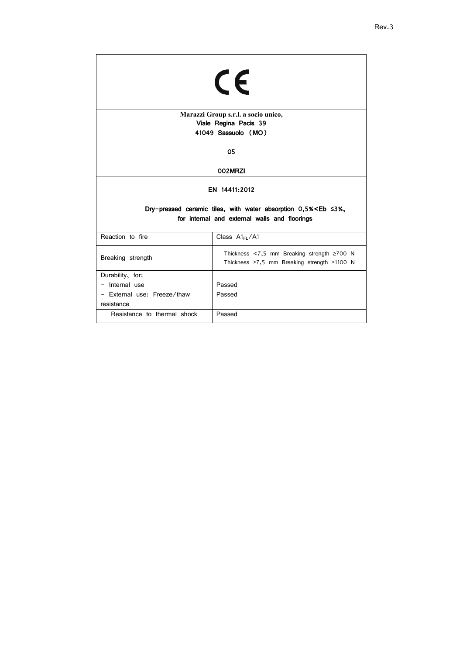| CE                                                                                         |                                                                                                                  |  |
|--------------------------------------------------------------------------------------------|------------------------------------------------------------------------------------------------------------------|--|
| Marazzi Group s.r.l. a socio unico,                                                        |                                                                                                                  |  |
|                                                                                            | Viale Regina Pacis 39<br>41049 Sassuolo (MO)                                                                     |  |
|                                                                                            |                                                                                                                  |  |
| 05                                                                                         |                                                                                                                  |  |
| 002MRZI                                                                                    |                                                                                                                  |  |
| EN 14411:2012<br>Dry-pressed ceramic tiles, with water absorption $0.5\%<$ Eb $\leq 3\%$ , |                                                                                                                  |  |
| for internal and external walls and floorings                                              |                                                                                                                  |  |
| Reaction to fire                                                                           | Class A1FL/A1                                                                                                    |  |
| Breaking strength                                                                          | Thickness $\lt$ 7,5 mm Breaking strength $\geq$ 700 N<br>Thickness $\geq 7.5$ mm Breaking strength $\geq 1100$ N |  |
| Durability, for:                                                                           |                                                                                                                  |  |
| - Internal use                                                                             | Passed                                                                                                           |  |
| - External use: Freeze/thaw                                                                | Passed                                                                                                           |  |
| resistance                                                                                 |                                                                                                                  |  |
| Resistance to thermal shock                                                                | Passed                                                                                                           |  |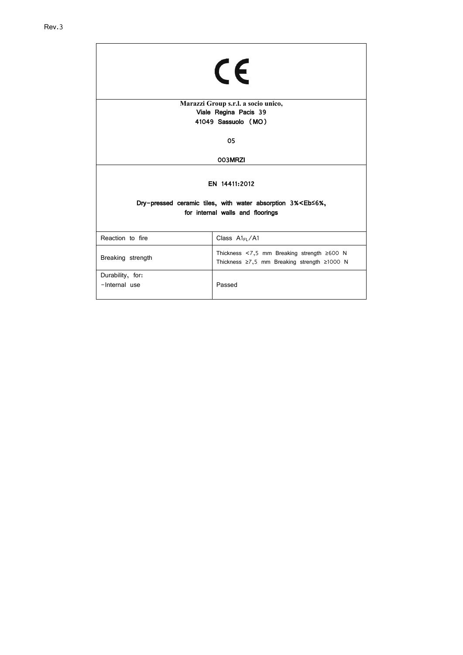| CE                                                                                                                        |                                                                                                 |  |
|---------------------------------------------------------------------------------------------------------------------------|-------------------------------------------------------------------------------------------------|--|
| Marazzi Group s.r.l. a socio unico,                                                                                       |                                                                                                 |  |
| Viale Regina Pacis 39<br>41049 Sassuolo (MO)                                                                              |                                                                                                 |  |
|                                                                                                                           |                                                                                                 |  |
| 05                                                                                                                        |                                                                                                 |  |
| 003MRZI                                                                                                                   |                                                                                                 |  |
| EN 14411:2012<br>Dry-pressed ceramic tiles, with water absorption 3% <eb <6%,<br="">for internal walls and floorings</eb> |                                                                                                 |  |
| Reaction to fire                                                                                                          | Class $Al_{FL}/Al$                                                                              |  |
| Breaking strength                                                                                                         | Thickness <7,5 mm Breaking strength $\geq 600$ N<br>Thickness ≥7,5 mm Breaking strength ≥1000 N |  |
| Durability, for:<br>-Internal use                                                                                         | Passed                                                                                          |  |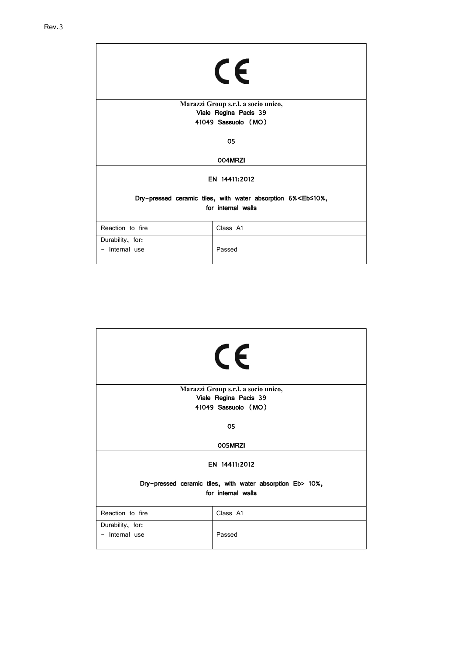| CE                                                                                              |          |  |
|-------------------------------------------------------------------------------------------------|----------|--|
| Marazzi Group s.r.l. a socio unico,                                                             |          |  |
| Viale Regina Pacis 39                                                                           |          |  |
| 41049 Sassuolo (MO)                                                                             |          |  |
| 05                                                                                              |          |  |
| 004MRZI                                                                                         |          |  |
| EN 14411:2012                                                                                   |          |  |
| Dry-pressed ceramic tiles, with water absorption 6% <eb≤10%,<br>for internal walls</eb≤10%,<br> |          |  |
| Reaction to fire                                                                                | Class A1 |  |
| Durability, for:<br>Internal use                                                                | Passed   |  |

| CE                                                                              |                                     |  |
|---------------------------------------------------------------------------------|-------------------------------------|--|
|                                                                                 | Marazzi Group s.r.l. a socio unico, |  |
|                                                                                 | Viale Regina Pacis 39               |  |
| 41049 Sassuolo (MO)                                                             |                                     |  |
| 05                                                                              |                                     |  |
| 005MRZI                                                                         |                                     |  |
| EN 14411:2012                                                                   |                                     |  |
| Dry-pressed ceramic tiles, with water absorption Eb> 10%,<br>for internal walls |                                     |  |
|                                                                                 |                                     |  |
| Reaction to fire                                                                | Class A1                            |  |
| Durability, for:<br>- Internal use                                              | Passed                              |  |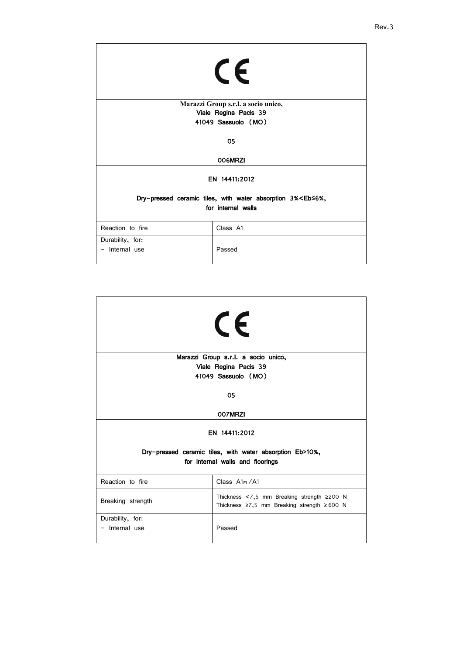| CE                                                                            |                                     |  |
|-------------------------------------------------------------------------------|-------------------------------------|--|
|                                                                               | Marazzi Group s.r.l. a socio unico, |  |
| Viale Regina Pacis 39                                                         |                                     |  |
| 41049 Sassuolo (MO)                                                           |                                     |  |
| 05                                                                            |                                     |  |
| 006MRZI                                                                       |                                     |  |
| EN 14411:2012                                                                 |                                     |  |
| Dry-pressed ceramic tiles, with water absorption 3% <eb≤6%,< th=""></eb≤6%,<> |                                     |  |
| for internal walls                                                            |                                     |  |
| Reaction to fire                                                              | Class A1                            |  |
| Durability, for:                                                              |                                     |  |
| - Internal use                                                                | Passed                              |  |

| CE                                                                                   |                                                                                                             |  |
|--------------------------------------------------------------------------------------|-------------------------------------------------------------------------------------------------------------|--|
| Marazzi Group s.r.l. a socio unico,                                                  |                                                                                                             |  |
| Viale Regina Pacis 39                                                                |                                                                                                             |  |
| 41049 Sassuolo (MO)                                                                  |                                                                                                             |  |
| 05                                                                                   |                                                                                                             |  |
| 007MRZI<br>EN 14411:2012<br>Dry-pressed ceramic tiles, with water absorption Eb>10%, |                                                                                                             |  |
| for internal walls and floorings                                                     |                                                                                                             |  |
| Reaction to fire                                                                     | Class $Al_{FL}/Al$                                                                                          |  |
| Breaking strength                                                                    | Thickness $<$ 7,5 mm Breaking strength $\geq$ 200 N<br>Thickness $\ge$ 7,5 mm Breaking strength $\ge$ 600 N |  |
| Durability, for:<br>- Internal use                                                   | Passed                                                                                                      |  |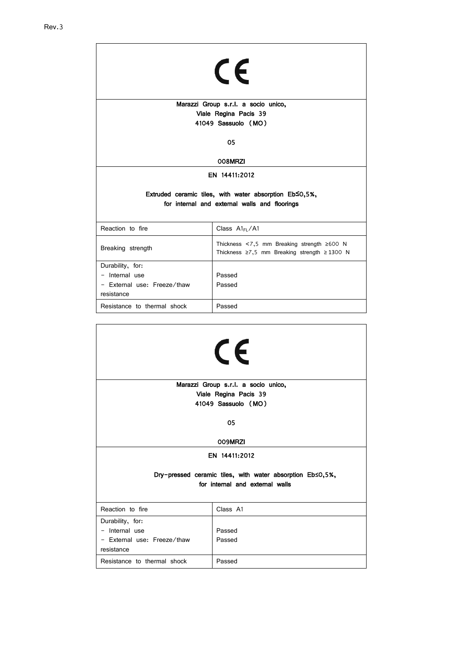| CE                                                                                                      |                                                                                                                 |  |
|---------------------------------------------------------------------------------------------------------|-----------------------------------------------------------------------------------------------------------------|--|
| Marazzi Group s.r.l. a socio unico,                                                                     |                                                                                                                 |  |
| Viale Regina Pacis 39                                                                                   |                                                                                                                 |  |
| 41049 Sassuolo (MO)                                                                                     |                                                                                                                 |  |
| 05                                                                                                      |                                                                                                                 |  |
| 008MRZI                                                                                                 |                                                                                                                 |  |
| EN 14411:2012                                                                                           |                                                                                                                 |  |
| Extruded ceramic tiles, with water absorption Eb≤0,5%,<br>for internal and external walls and floorings |                                                                                                                 |  |
| Reaction to fire                                                                                        | Class A1FL/A1                                                                                                   |  |
| Breaking strength                                                                                       | Thickness $\leq 7.5$ mm Breaking strength $\geq 600$ N<br>Thickness $\ge 7.5$ mm Breaking strength $\ge 1300$ N |  |
| Durability, for:<br>Internal use<br>- External use: Freeze/thaw<br>resistance                           | Passed<br>Passed                                                                                                |  |
| Resistance to thermal shock                                                                             | Passed                                                                                                          |  |

| CE                                                                         |                                 |  |
|----------------------------------------------------------------------------|---------------------------------|--|
| Marazzi Group s.r.l. a socio unico,                                        |                                 |  |
| Viale Regina Pacis 39                                                      |                                 |  |
| 41049 Sassuolo (MO)                                                        |                                 |  |
| 05<br>009MRZI                                                              |                                 |  |
|                                                                            |                                 |  |
| EN 14411:2012<br>Dry-pressed ceramic tiles, with water absorption Eb≤0,5%, |                                 |  |
|                                                                            | for internal and external walls |  |
|                                                                            |                                 |  |
| Reaction to fire                                                           | Class A1                        |  |
| Durability, for:                                                           |                                 |  |
| - Internal use                                                             | Passed                          |  |
| - External use: Freeze/thaw<br>resistance                                  | Passed                          |  |
| Resistance to thermal shock                                                | Passed                          |  |